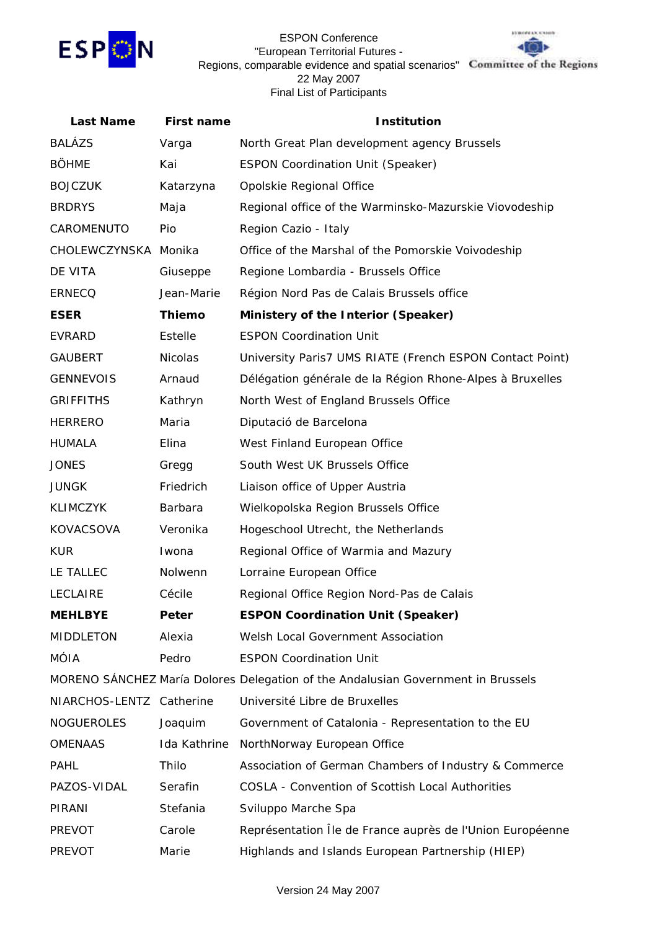

## ESPON Conference "European Territorial Futures - Regions, comparable evidence and spatial scenarios" Committee of the Regions 22 May 2007 Final List of Participants



| <b>Last Name</b>         | <b>First name</b> | <b>Institution</b>                                                               |
|--------------------------|-------------------|----------------------------------------------------------------------------------|
| <b>BALÁZS</b>            | Varga             | North Great Plan development agency Brussels                                     |
| <b>BÖHME</b>             | Kai               | <b>ESPON Coordination Unit (Speaker)</b>                                         |
| <b>BOJCZUK</b>           | Katarzyna         | Opolskie Regional Office                                                         |
| <b>BRDRYS</b>            | Maja              | Regional office of the Warminsko-Mazurskie Viovodeship                           |
| CAROMENUTO               | Pio               | Region Cazio - Italy                                                             |
| CHOLEWCZYNSKA Monika     |                   | Office of the Marshal of the Pomorskie Voivodeship                               |
| DE VITA                  | Giuseppe          | Regione Lombardia - Brussels Office                                              |
| <b>ERNECQ</b>            | Jean-Marie        | Région Nord Pas de Calais Brussels office                                        |
| <b>ESER</b>              | <b>Thiemo</b>     | Ministery of the Interior (Speaker)                                              |
| EVRARD                   | Estelle           | <b>ESPON Coordination Unit</b>                                                   |
| <b>GAUBERT</b>           | Nicolas           | University Paris7 UMS RIATE (French ESPON Contact Point)                         |
| <b>GENNEVOIS</b>         | Arnaud            | Délégation générale de la Région Rhone-Alpes à Bruxelles                         |
| <b>GRIFFITHS</b>         | Kathryn           | North West of England Brussels Office                                            |
| <b>HERRERO</b>           | Maria             | Diputació de Barcelona                                                           |
| <b>HUMALA</b>            | Elina             | West Finland European Office                                                     |
| <b>JONES</b>             | Gregg             | South West UK Brussels Office                                                    |
| <b>JUNGK</b>             | Friedrich         | Liaison office of Upper Austria                                                  |
| <b>KLIMCZYK</b>          | Barbara           | Wielkopolska Region Brussels Office                                              |
| KOVACSOVA                | Veronika          | Hogeschool Utrecht, the Netherlands                                              |
| <b>KUR</b>               | Iwona             | Regional Office of Warmia and Mazury                                             |
| LE TALLEC                | Nolwenn           | Lorraine European Office                                                         |
| <b>LECLAIRE</b>          | Cécile            | Regional Office Region Nord-Pas de Calais                                        |
| <b>MEHLBYE</b>           | Peter             | <b>ESPON Coordination Unit (Speaker)</b>                                         |
| <b>MIDDLETON</b>         | Alexia            | Welsh Local Government Association                                               |
| <b>MÓIA</b>              | Pedro             | <b>ESPON Coordination Unit</b>                                                   |
|                          |                   | MORENO SÁNCHEZ María Dolores Delegation of the Andalusian Government in Brussels |
| NIARCHOS-LENTZ Catherine |                   | Université Libre de Bruxelles                                                    |
| <b>NOGUEROLES</b>        | Joaquim           | Government of Catalonia - Representation to the EU                               |
| <b>OMENAAS</b>           | Ida Kathrine      | NorthNorway European Office                                                      |
| <b>PAHL</b>              | Thilo             | Association of German Chambers of Industry & Commerce                            |
| PAZOS-VIDAL              | Serafin           | <b>COSLA - Convention of Scottish Local Authorities</b>                          |
| PIRANI                   | Stefania          | Sviluppo Marche Spa                                                              |
| <b>PREVOT</b>            | Carole            | Représentation Île de France auprès de l'Union Européenne                        |
| PREVOT                   | Marie             | Highlands and Islands European Partnership (HIEP)                                |